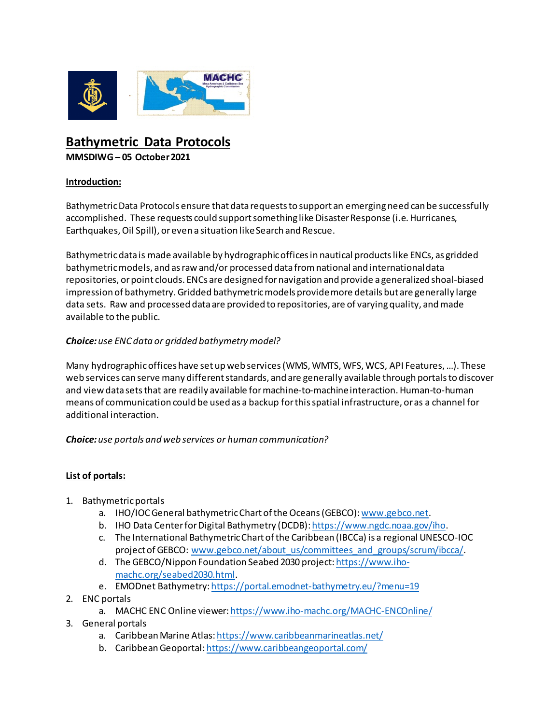

# **Bathymetric Data Protocols MMSDIWG – 05 October2021**

#### **Introduction:**

Bathymetric Data Protocols ensure that data requests to support an emerging need can be successfully accomplished. These requests could support something like Disaster Response (i.e. Hurricanes, Earthquakes, Oil Spill), or even a situation like Search and Rescue.

Bathymetric data is made available by hydrographic offices in nautical products like ENCs, as gridded bathymetric models, and as raw and/or processed data from national and international data repositories, or point clouds. ENCs are designed for navigation and provide a generalized shoal-biased impression of bathymetry. Gridded bathymetric models provide more details but are generally large data sets. Raw and processed data are provided to repositories, are of varying quality, and made available to the public.

### *Choice:use ENC data or gridded bathymetry model?*

Many hydrographic offices have set up web services (WMS, WMTS, WFS, WCS, API Features, …). These web services can serve many different standards, and are generally available through portals to discover and view data sets that are readily available for machine-to-machine interaction. Human-to-human means of communication could be used as a backup for this spatial infrastructure, or as a channel for additional interaction.

*Choice:use portals and web services or human communication?*

### **List of portals:**

- 1. Bathymetric portals
	- a. IHO/IOC General bathymetric Chart of the Oceans (GEBCO)[: www.gebco.net](about:blank).
	- b. IHO Data Center for Digital Bathymetry (DCDB)[: https://www.ngdc.noaa.gov/iho](https://www.ngdc.noaa.gov/iho).
	- c. The International Bathymetric Chart of the Caribbean (IBCCa) is a regional UNESCO-IOC project of GEBCO: [www.gebco.net/about\\_us/committees\\_and\\_groups/scrum/ibcca/](http://www.gebco.net/about_us/committees_and_groups/scrum/ibcca/).
	- d. The GEBCO/Nippon Foundation Seabed 2030 project[: https://www.iho](about:blank)[machc.org/seabed2030.html](about:blank).
	- e. EMODnet Bathymetry[: https://portal.emodnet-bathymetry.eu/?menu=19](about:blank)
- 2. ENC portals
	- a. MACHC ENC Online viewer[: https://www.iho-machc.org/MACHC-ENCOnline/](about:blank)
- 3. General portals
	- a. Caribbean Marine Atlas[:https://www.caribbeanmarineatlas.net/](about:blank)
	- b. Caribbean Geoportal: [https://www.caribbeangeoportal.com/](about:blank)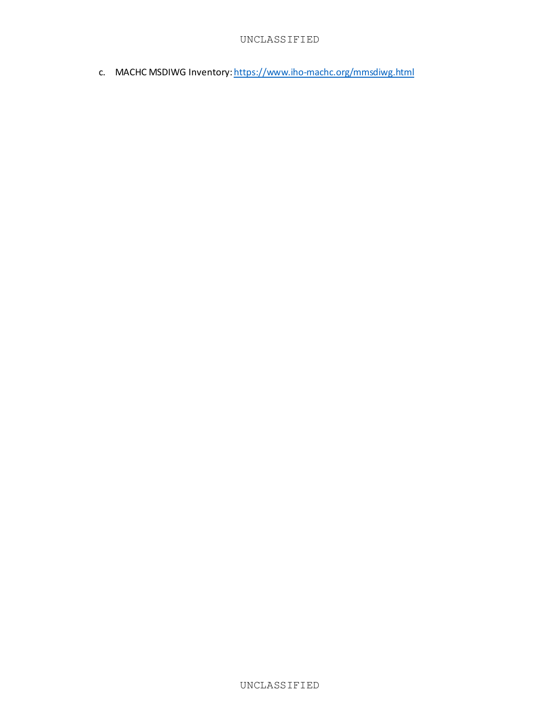c. MACHC MSDIWG Inventory[: https://www.iho-machc.org/mmsdiwg.html](about:blank)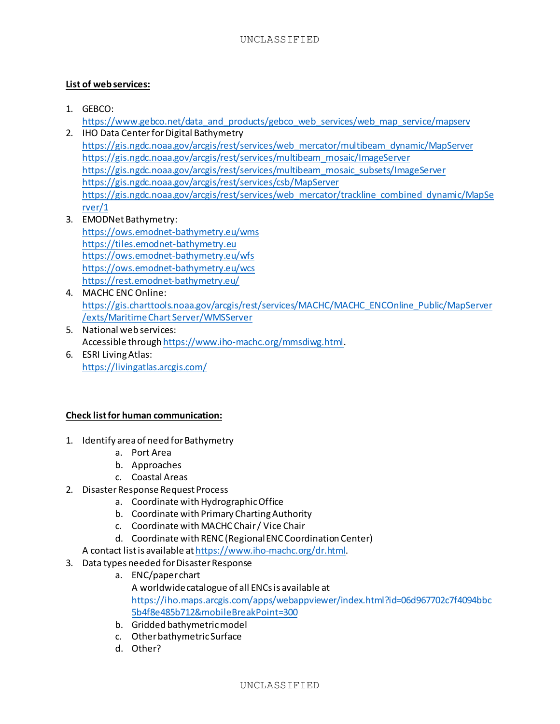## **List of web services:**

1. GEBCO:

[https://www.gebco.net/data\\_and\\_products/gebco\\_web\\_services/web\\_map\\_service/mapserv](about:blank)

- 2. IHO Data Center for Digital Bathymetry [https://gis.ngdc.noaa.gov/arcgis/rest/services/web\\_mercator/multibeam\\_dynamic/MapServer](https://gis.ngdc.noaa.gov/arcgis/rest/services/web_mercator/multibeam_dynamic/MapServer) [https://gis.ngdc.noaa.gov/arcgis/rest/services/multibeam\\_mosaic/ImageServer](https://gis.ngdc.noaa.gov/arcgis/rest/services/multibeam_mosaic/ImageServer) [https://gis.ngdc.noaa.gov/arcgis/rest/services/multibeam\\_mosaic\\_subsets/ImageServer](https://gis.ngdc.noaa.gov/arcgis/rest/services/multibeam_mosaic_subsets/ImageServer) <https://gis.ngdc.noaa.gov/arcgis/rest/services/csb/MapServer> [https://gis.ngdc.noaa.gov/arcgis/rest/services/web\\_mercator/trackline\\_combined\\_dynamic/MapSe](https://gis.ngdc.noaa.gov/arcgis/rest/services/web_mercator/trackline_combined_dynamic/MapServer/1) [rver/1](https://gis.ngdc.noaa.gov/arcgis/rest/services/web_mercator/trackline_combined_dynamic/MapServer/1)
- 3. EMODNet Bathymetry: [https://ows.emodnet-bathymetry.eu/wms](about:blank) [https://tiles.emodnet-bathymetry.eu](about:blank) [https://ows.emodnet-bathymetry.eu/wfs](about:blank) [https://ows.emodnet-bathymetry.eu/wcs](about:blank) [https://rest.emodnet-bathymetry.eu/](about:blank)
- 4. MACHC ENC Online: [https://gis.charttools.noaa.gov/arcgis/rest/services/MACHC/MACHC\\_ENCOnline\\_Public/MapServer](about:blank) [/exts/Maritime Chart Server/WMSServer](about:blank)
- 5. National web services: Accessible throug[h https://www.iho-machc.org/mmsdiwg.html](about:blank).
- 6. ESRI Living Atlas: <https://livingatlas.arcgis.com/>

### **Check list for human communication:**

- 1. Identify area of need for Bathymetry
	- a. Port Area
	- b. Approaches
	- c. Coastal Areas
- 2. Disaster Response Request Process
	- a. Coordinate with Hydrographic Office
	- b. Coordinate with Primary Charting Authority
	- c. Coordinate with MACHC Chair / Vice Chair
	- d. Coordinate with RENC (Regional ENC Coordination Center)
	- A contact list is available a[t https://www.iho-machc.org/dr.html](about:blank).
- 3. Data types needed for Disaster Response
	- a. ENC/paper chart A worldwide catalogue of all ENCs is available at [https://iho.maps.arcgis.com/apps/webappviewer/index.html?id=06d967702c7f4094bbc](about:blank) [5b4f8e485b712&mobileBreakPoint=300](about:blank)
	- b. Gridded bathymetric model
	- c. Other bathymetric Surface
	- d. Other?